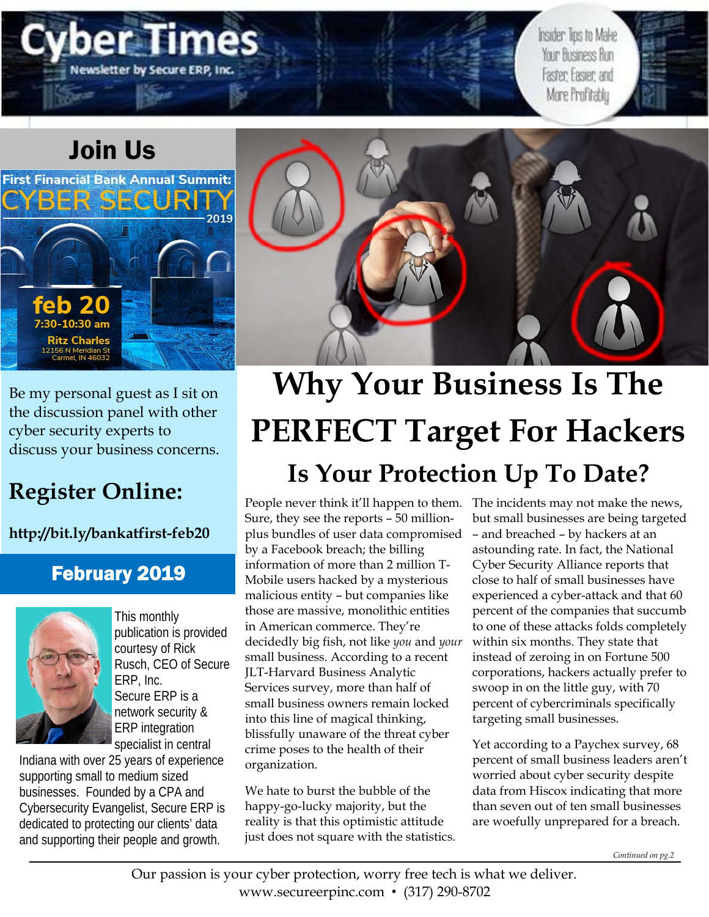# Join Us

**First Financial Bank Annual Summit:** 

lewsletter by Secure ERP,

Be my personal guest as I sit on the discussion panel with other cyber security experts to discuss your business concerns.

# **Register Online:**

feb

7:30-10:30 am **Ritz Charles** 

**http://bit.ly/bankatfirst-feb20**

## February 2019



This monthly publication is provided courtesy of Rick Rusch, CEO of Secure ERP, Inc. Secure ERP is a network security & ERP integration specialist in central

Indiana with over 25 years of experience supporting small to medium sized businesses. Founded by a CPA and Cybersecurity Evangelist, Secure ERP is dedicated to protecting our clients' data and supporting their people and growth.



# **Why Your Business Is The PERFECT Target For Hackers Is Your Protection Up To Date?**

People never think it'll happen to them. Sure, they see the reports – 50 millionplus bundles of user data compromised by a Facebook breach; the billing information of more than 2 million T-Mobile users hacked by a mysterious malicious entity – but companies like those are massive, monolithic entities in American commerce. They're decidedly big fish, not like *you* and *your* small business. According to a recent JLT-Harvard Business Analytic Services survey, more than half of small business owners remain locked into this line of magical thinking, blissfully unaware of the threat cyber crime poses to the health of their organization.

We hate to burst the bubble of the happy-go-lucky majority, but the reality is that this optimistic attitude just does not square with the statistics. The incidents may not make the news, but small businesses are being targeted – and breached – by hackers at an astounding rate. In fact, the National Cyber Security Alliance reports that close to half of small businesses have experienced a cyber-attack and that 60 percent of the companies that succumb to one of these attacks folds completely within six months. They state that instead of zeroing in on Fortune 500 corporations, hackers actually prefer to swoop in on the little guy, with 70 percent of cybercriminals specifically targeting small businesses.

Insider Tips to Make Your Business Run

Faster: Easier: and More Profitably

Yet according to a Paychex survey, 68 percent of small business leaders aren't worried about cyber security despite data from Hiscox indicating that more than seven out of ten small businesses are woefully unprepared for a breach.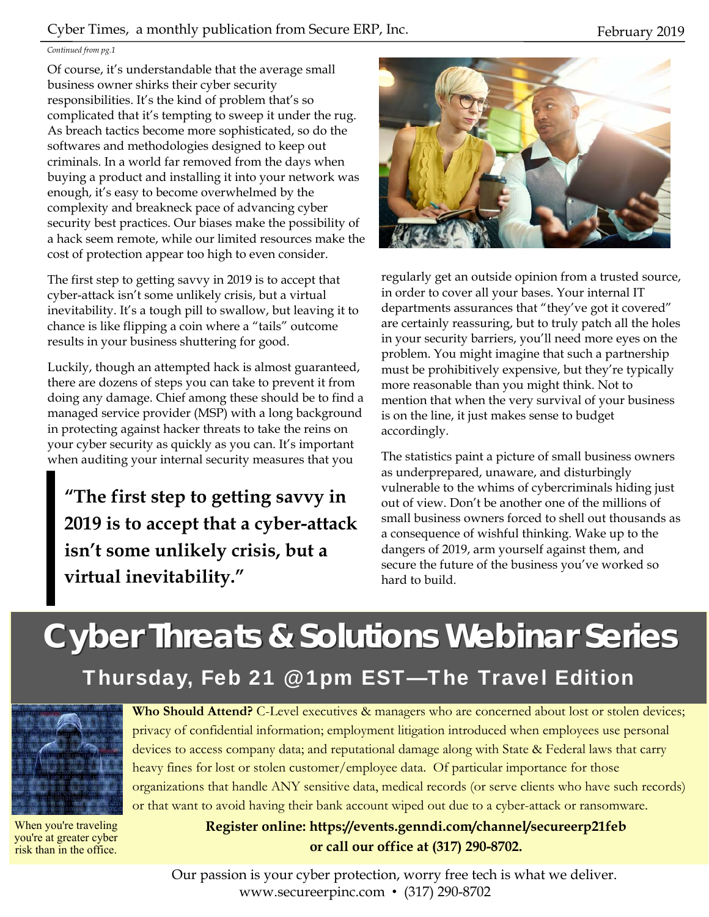#### Cyber Times, a monthly publication from Secure ERP, Inc. February 2019

#### *Continued from pg.1*

Of course, it's understandable that the average small business owner shirks their cyber security responsibilities. It's the kind of problem that's so complicated that it's tempting to sweep it under the rug. As breach tactics become more sophisticated, so do the softwares and methodologies designed to keep out criminals. In a world far removed from the days when buying a product and installing it into your network was enough, it's easy to become overwhelmed by the complexity and breakneck pace of advancing cyber security best practices. Our biases make the possibility of a hack seem remote, while our limited resources make the cost of protection appear too high to even consider.

The first step to getting savvy in 2019 is to accept that cyber-attack isn't some unlikely crisis, but a virtual inevitability. It's a tough pill to swallow, but leaving it to chance is like flipping a coin where a "tails" outcome results in your business shuttering for good.

Luckily, though an attempted hack is almost guaranteed, there are dozens of steps you can take to prevent it from doing any damage. Chief among these should be to find a managed service provider (MSP) with a long background in protecting against hacker threats to take the reins on your cyber security as quickly as you can. It's important when auditing your internal security measures that you

**"The first step to getting savvy in 2019 is to accept that a cyber-attack isn't some unlikely crisis, but a virtual inevitability."** 



regularly get an outside opinion from a trusted source, in order to cover all your bases. Your internal IT departments assurances that "they've got it covered" are certainly reassuring, but to truly patch all the holes in your security barriers, you'll need more eyes on the problem. You might imagine that such a partnership must be prohibitively expensive, but they're typically more reasonable than you might think. Not to mention that when the very survival of your business is on the line, it just makes sense to budget accordingly.

The statistics paint a picture of small business owners as underprepared, unaware, and disturbingly vulnerable to the whims of cybercriminals hiding just out of view. Don't be another one of the millions of small business owners forced to shell out thousands as a consequence of wishful thinking. Wake up to the dangers of 2019, arm yourself against them, and secure the future of the business you've worked so hard to build.

# **Cyber Threats & Solutions Webinar Series** Thursday, Feb 21 @ 1pm EST—The Travel Edition



When you're traveling you're at greater cyber risk than in the office.

Who Should Attend? C-Level executives & managers who are concerned about lost or stolen devices; privacy of confidential information; employment litigation introduced when employees use personal devices to access company data; and reputational damage along with State & Federal laws that carry heavy fines for lost or stolen customer/employee data. Of particular importance for those organizations that handle ANY sensitive data, medical records (or serve clients who have such records) or that want to avoid having their bank account wiped out due to a cyber-attack or ransomware.

> **Register online: https://events.genndi.com/channel/secureerp21feb or call our office at (317) 290-8702.**

Our passion is your cyber protection, worry free tech is what we deliver. www.secureerpinc.com • (317) 290-8702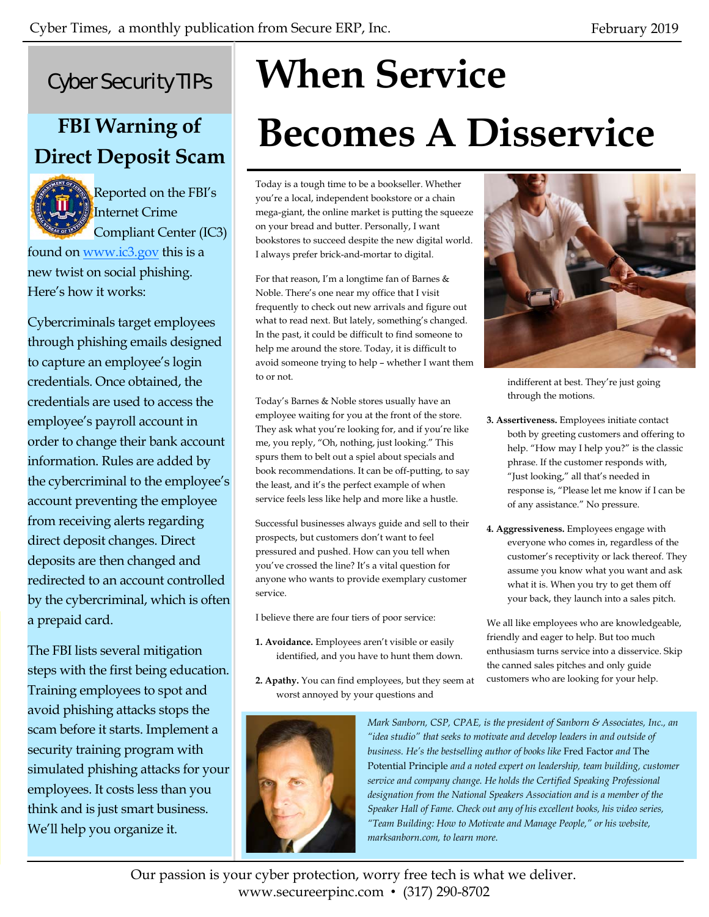# Cyber Security TIPs

# **FBI Warning of Direct Deposit Scam**



Reported on the FBI's Internet Crime Compliant Center (IC3)

found on www.ic3.gov this is a new twist on social phishing. Here's how it works:

Cybercriminals target employees through phishing emails designed to capture an employee's login credentials. Once obtained, the credentials are used to access the employee's payroll account in order to change their bank account information. Rules are added by the cybercriminal to the employee's account preventing the employee from receiving alerts regarding direct deposit changes. Direct deposits are then changed and redirected to an account controlled by the cybercriminal, which is often a prepaid card.

The FBI lists several mitigation steps with the first being education. Training employees to spot and avoid phishing attacks stops the scam before it starts. Implement a security training program with simulated phishing attacks for your employees. It costs less than you think and is just smart business. We'll help you organize it.

# **When Service Becomes A Disservice**

Today is a tough time to be a bookseller. Whether you're a local, independent bookstore or a chain mega-giant, the online market is putting the squeeze on your bread and butter. Personally, I want bookstores to succeed despite the new digital world. I always prefer brick-and-mortar to digital.

For that reason, I'm a longtime fan of Barnes & Noble. There's one near my office that I visit frequently to check out new arrivals and figure out what to read next. But lately, something's changed. In the past, it could be difficult to find someone to help me around the store. Today, it is difficult to avoid someone trying to help – whether I want them to or not.

Today's Barnes & Noble stores usually have an employee waiting for you at the front of the store. They ask what you're looking for, and if you're like me, you reply, "Oh, nothing, just looking." This spurs them to belt out a spiel about specials and book recommendations. It can be off-putting, to say the least, and it's the perfect example of when service feels less like help and more like a hustle.

Successful businesses always guide and sell to their prospects, but customers don't want to feel pressured and pushed. How can you tell when you've crossed the line? It's a vital question for anyone who wants to provide exemplary customer service.

I believe there are four tiers of poor service:

- **1. Avoidance.** Employees aren't visible or easily identified, and you have to hunt them down.
- **2. Apathy.** You can find employees, but they seem at worst annoyed by your questions and





indifferent at best. They're just going through the motions.

- **3. Assertiveness.** Employees initiate contact both by greeting customers and offering to help. "How may I help you?" is the classic phrase. If the customer responds with, "Just looking," all that's needed in response is, "Please let me know if I can be of any assistance." No pressure.
- **4. Aggressiveness.** Employees engage with everyone who comes in, regardless of the customer's receptivity or lack thereof. They assume you know what you want and ask what it is. When you try to get them off your back, they launch into a sales pitch.

We all like employees who are knowledgeable, friendly and eager to help. But too much enthusiasm turns service into a disservice. Skip the canned sales pitches and only guide customers who are looking for your help.

*Mark Sanborn, CSP, CPAE, is the president of Sanborn & Associates, Inc., an "idea studio" that seeks to motivate and develop leaders in and outside of business. He's the bestselling author of books like* Fred Factor *and* The Potential Principle *and a noted expert on leadership, team building, customer service and company change. He holds the Certified Speaking Professional designation from the National Speakers Association and is a member of the Speaker Hall of Fame. Check out any of his excellent books, his video series, "Team Building: How to Motivate and Manage People," or his website, marksanborn.com, to learn more.* 

Our passion is your cyber protection, worry free tech is what we deliver. www.secureerpinc.com • (317) 290-8702